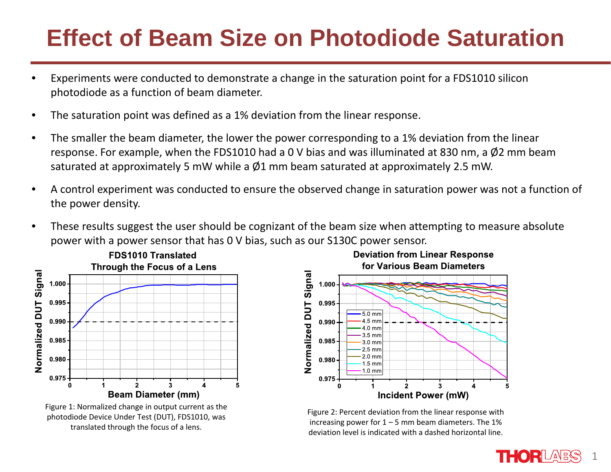#### **Effect of Beam Size on Photodiode Saturation**

- • Experiments were conducted to demonstrate a change in the saturation point for a FDS1010 silicon photodiode as a function of beam diameter.
- •The saturation point was defined as a 1% deviation from the linear response.
- • The smaller the beam diameter, the lower the power corresponding to a 1% deviation from the linear response. For example, when the FDS1010 had a 0 V bias and was illuminated at 830 nm, a  $\emptyset$ 2 mm beam saturated at approximately 5 mW while a  $\varnothing$ 1 mm beam saturated at approximately 2.5 mW.
- •A control experiment was conducted to ensure the observed change in saturation power was not a function of the power density.
- • These results suggest the user should be cognizant of the beam size when attempting to measure absolute power with a power sensor that has 0 V bias, such as our S130C power sensor.



Figure 1: Normalized change in output current as the photodiode Device Under Test (DUT), FDS1010, was translated through the focus of <sup>a</sup> lens.

**Deviation from Linear Response** for Various Beam Diameters



Figure 2: Percent deviation from the linear response with increasing power for  $1 - 5$  mm beam diameters. The 1% deviation level is indicated with <sup>a</sup> dashed horizontal line.

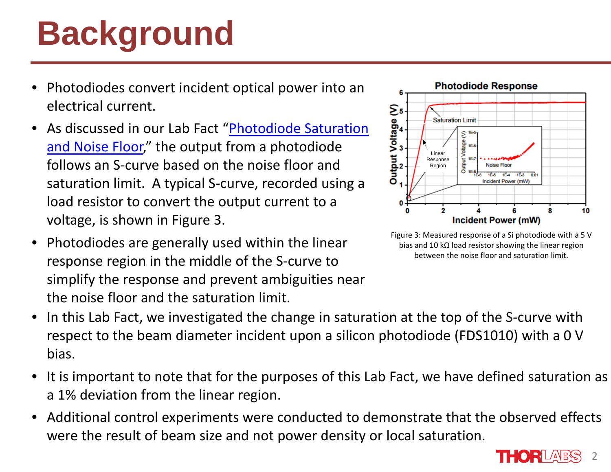# **Background**

- •• Photodiodes convert incident optical power into an electrical current.
- •**•** As discussed in our Lab Fact "Photodiode Saturation and Noise Floor," the output from a photodiode follows an S‐curve based on the noise floor and saturation limit. A typical S‐curve, recorded using <sup>a</sup> load resistor to convert the output current to <sup>a</sup> voltage, is shown in Figure 3.
- • $\bullet~$  Photodiodes are generally used within the linear response region in the middle of the S‐curve to simplify the response and prevent ambiguities near the noise floor and the saturation limit.



Figure 3: Measured response of <sup>a</sup> Si photodiode with <sup>a</sup> 5 V bias and 10 kΩ load resistor showing the linear region between the noise floor and saturation limit.

- •• In this Lab Fact, we investigated the change in saturation at the top of the S-curve with respect to the beam diameter incident upon <sup>a</sup> silicon photodiode (FDS1010) with <sup>a</sup> 0 V bias.
- • $\bullet~$  It is important to note that for the purposes of this Lab Fact, we have defined saturation as a 1% deviation from the linear region.
- • Additional control experiments were conducted to demonstrate that the observed effects were the result of beam size and not power density or local saturation.

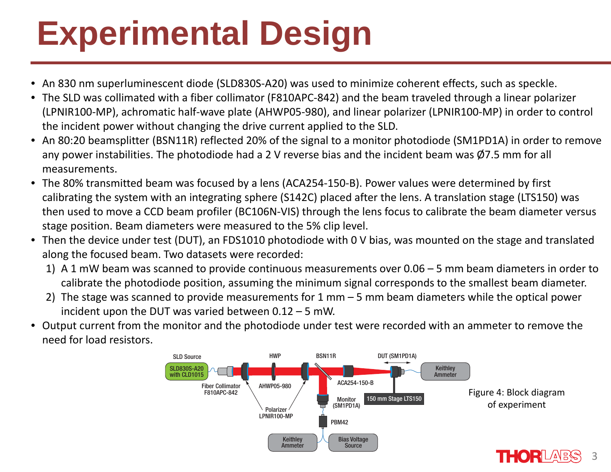# **Experimental Design**

- •An 830 nm superluminescent diode (SLD830S‐A20) was used to minimize coherent effects, such as speckle.
- •• The SLD was collimated with a fiber collimator (F810APC-842) and the beam traveled through a linear polarizer (LPNIR100‐MP), achromatic half‐wave plate (AHWP05‐980), and linear polarizer (LPNIR100‐MP) in order to control the incident power without changing the drive current applied to the SLD.
- •• An 80:20 beamsplitter (BSN11R) reflected 20% of the signal to a monitor photodiode (SM1PD1A) in order to remove any power instabilities. The photodiode had a 2 V reverse bias and the incident beam was  $\emptyset$ 7.5 mm for all measurements.
- $\bullet$  The 80% transmitted beam was focused by a lens (ACA254‐150‐B). Power values were determined by first calibrating the system with an integrating sphere (S142C) placed after the lens. A translation stage (LTS150) was then used to move a CCD beam profiler (BC106N‐VIS) through the lens focus to calibrate the beam diameter versus stage position. Beam diameters were measured to the 5% clip level.
- $\bullet$  Then the device under test (DUT), an FDS1010 photodiode with 0 V bias, was mounted on the stage and translated along the focused beam. Two datasets were recorded:
	- 1) A 1 mW beam was scanned to provide continuous measurements over 0.06 5 mm beam diameters in order to calibrate the photodiode position, assuming the minimum signal corresponds to the smallest beam diameter.
	- 2) The stage was scanned to provide measurements for 1 mm 5 mm beam diameters while the optical power incident upon the DUT was varied between 0.12 – 5 mW.
- $\bullet$  Output current from the monitor and the photodiode under test were recorded with an ammeter to remove the need for load resistors.



3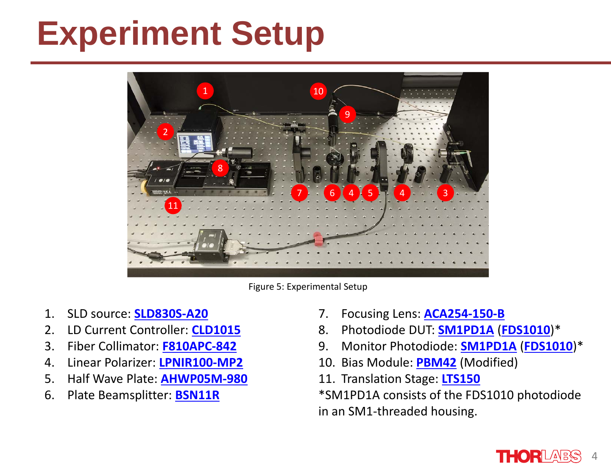### **Experiment Setup**



Figure 5: Experimental Setup

- 1. SLD source: **SLD830S‐A20**
- 2. LD Current Controller: **CLD1015**
- 3. Fiber Collimator: **F810APC‐842**
- 4. Linear Polarizer: **LPNIR100‐MP2**
- 5. Half Wave Plate: **AHWP05M‐980**
- 6. Plate Beamsplitter: **BSN11R**
- 7. Focusing Lens: **ACA254‐150‐B**
- 8. Photodiode DUT: **SM1PD1A** (**FDS1010**)\*
- 9. Monitor Photodiode: **SM1PD1A** (**FDS1010**)\*
- 10. Bias Module: **PBM42** (Modified)
- 11. Translation Stage: **LTS150**

\*SM1PD1A consists of the FDS1010 photodiode in an SM1‐threaded housing.

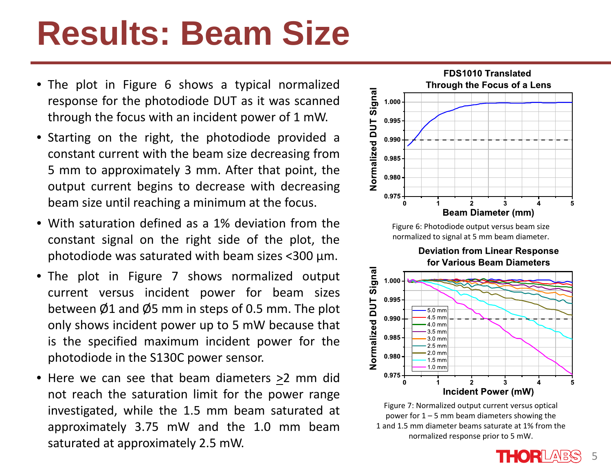### **Results: Beam Size**

- The plot in Figure 6 shows <sup>a</sup> typical normalized response for the photodiode DUT as it was scanned through the focus with an incident power of 1 mW.
- Starting on the right, the photodiode provided <sup>a</sup> constant current with the beam size decreasing from 5 mm to approximately 3 mm. After that point, the output current begins to decrease with decreasing beam size until reaching <sup>a</sup> minimum at the focus.
- With saturation defined as <sup>a</sup> 1% deviation from theconstant signal on the right side of the plot, the photodiode was saturated with beam sizes <300 μm.
- The plot in Figure 7 shows normalized output current versus incident power for beam sizes between  $\emptyset$ 1 and  $\emptyset$ 5 mm in steps of 0.5 mm. The plot only shows incident power up to 5 mW because that is the specified maximum incident power for the photodiode in the S130C power sensor.
- Here we can see that beam diameters >2 mm did not reach the saturation limit for the power range investigated, while the 1.5 mm beam saturated at approximately 3.75 mW and the 1.0 mm beam saturated at approximately 2.5 mW.



power for  $1 - 5$  mm beam diameters showing the 1 and 1.5 mm diameter beams saturate at 1% from the normalized response prior to 5 mW.

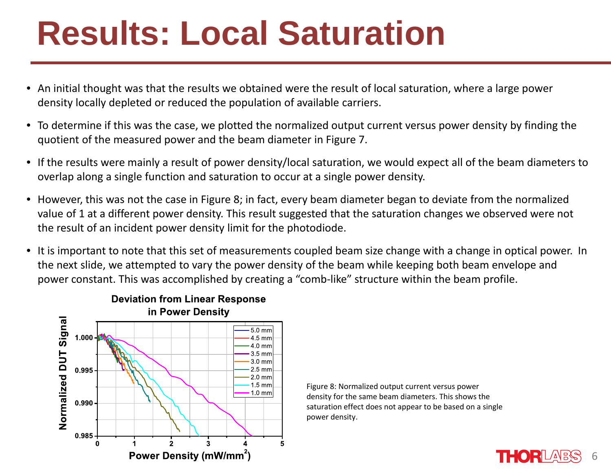### **Results: Local Saturation**

- An initial thought was that the results we obtained were the result of local saturation, where a large power density locally depleted or reduced the population of available carriers.
- To determine if this was the case, we plotted the normalized output current versus power density by finding the quotient of the measured power and the beam diameter in Figure 7.
- If the results were mainly a result of power density/local saturation, we would expect all of the beam diameters to overlap along a single function and saturation to occur at a single power density.
- However, this was not the case in Figure 8; in fact, every beam diameter began to deviate from the normalized value of 1 at a different power density. This result suggested that the saturation changes we observed were not the result of an incident power density limit for the photodiode.
- It is important to note that this set of measurements coupled beam size change with a change in optical power. In the next slide, we attempted to vary the power density of the beam while keeping both beam envelope and power constant. This was accomplished by creating a "comb‐like" structure within the beam profile.



Figure 8: Normalized output current versus power density for the same beam diameters. This shows the saturation effect does not appear to be based on <sup>a</sup> single power density.

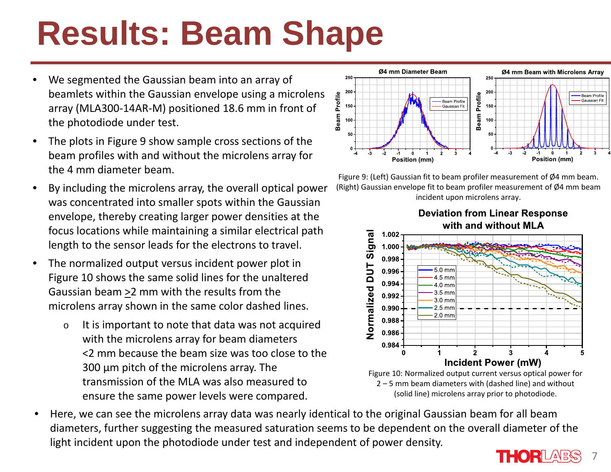# **Results: Beam Shape**

- • We segmented the Gaussian beam into an array of beamlets within the Gaussian envelope using a microlens array (MLA300‐14AR‐M) positioned 18.6 mm in front of the photodiode under test.
- • The plots in Figure 9 show sample cross sections of the beam profiles with and without the microlens array for the 4 mm diameter beam.
- • By including the microlens array, the overall optical power was concentrated into smaller spots within the Gaussian envelope, thereby creating larger power densities at the focus locations while maintaining a similar electrical path length to the sensor leads for the electrons to travel.
- $\bullet$  The normalized output versus incident power plot in Figure 10 shows the same solid lines for the unaltered Gaussian beam >2 mm with the results from the microlens array shown in the same color dashed lines.
	- o It is important to note that data was not acquired with the microlens array for beam diameters <2 mm because the beam size was too close to the 300 μ<sup>m</sup> pitch of the microlens array. The transmission of the MLA was also measured to ensure the same power levels were compared.



Figure 9: (Left) Gaussian fit to beam profiler measurement of Ø4 mm beam. (Right) Gaussian envelope fit to beam profiler measurement of Ø4 mm beam incident upon microlens array.



• Here, we can see the microlens array data was nearly identical to the original Gaussian beam for all beam diameters, further suggesting the measured saturation seems to be dependent on the overall diameter of the light incident upon the photodiode under test and independent of power density.

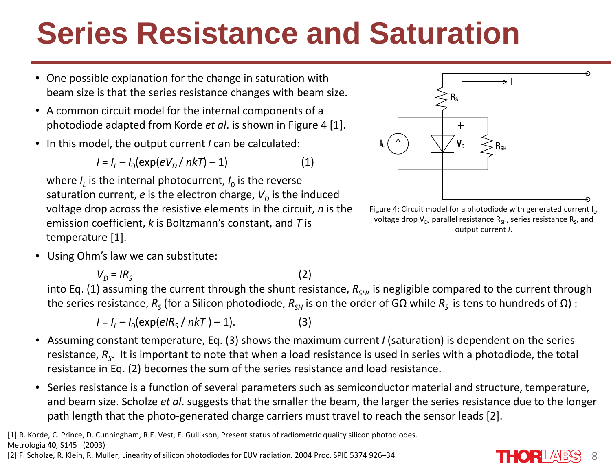#### **Series Resistance and Saturation**

- • One possible explanation for the change in saturation with beam size is that the series resistance changes with beam size.
- A common circuit model for the internal components of aphotodiode adapted from Korde *et al*. is shown in Figure 4 [1].
- In this model, the output current *I* can be calculated:

$$
I = I_L - I_0(\exp(eV_D / nkT) - 1)
$$
 (1)

where  $I_{L}$  is the internal photocurrent,  $I_{0}$  is the reverse saturation current*, e* is the electron charge,  $V^{}_{\!D}$  is the induced voltage drop across the resistive elements in the circuit, *n* is the emission coefficient, *k* is Boltzmann's constant, and *T* is temperature [1].

• Using Ohm's law we can substitute:

*V*<sub>D</sub> = IR<sub>S</sub>

 $\mathcal{S}$  (2) into Eq. (1) assuming the current through the shunt resistance,  $R_{SH}$ , is negligible compared to the current through the series resistance,  $R_{_S}$  (for a Silicon photodiode,  $R_{_{SH}}$  is on the order of GΩ while  $R_{_S}$  is tens to hundreds of Ω) :

$$
I = I_L - I_0(\exp(eIR_s / nkT) - 1).
$$
 (3)

- Assuming constant temperature, Eq. (3) shows the maximum current *I* (saturation) is dependent on the series resistance,  $R_{\sf s}$ . It is important to note that when a load resistance is used in series with a photodiode, the total resistance in Eq. (2) becomes the sum of the series resistance and load resistance.
- Series resistance is a function of several parameters such as semiconductor material and structure, temperature, and beam size. Scholze *et al*. suggests that the smaller the beam, the larger the series resistance due to the longer path length that the photo-generated charge carriers must travel to reach the sensor leads [2].







output current *I*.

voltage drop V<sub>D</sub>, parallel resistance R<sub>SH</sub>, series resistance R<sub>s</sub>, and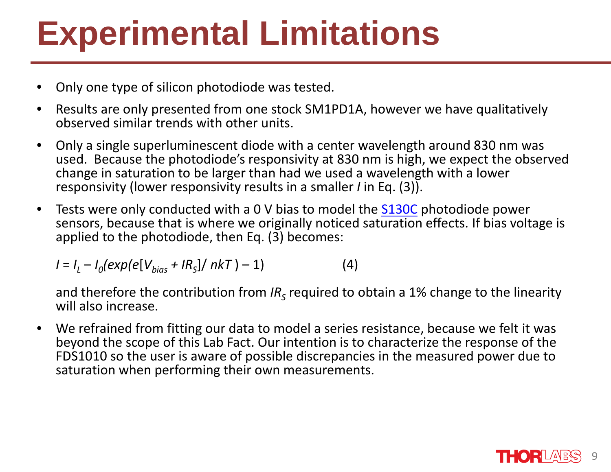## **Experimental Limitations**

- •Only one type of silicon photodiode was tested.
- • Results are only presented from one stock SM1PD1A, however we have qualitatively observed similar trends with other units.
- $\bullet$  Only a single superluminescent diode with a center wavelength around 830 nm was used. Because the photodiode's responsivity at 830 nm is high, we expect the observed change in saturation to be larger than had we used a wavelength with a lower responsivity (lower responsivity results in a smaller *I* in Eq. (3)).
- $\bullet$ • Tests were only conducted with a 0 V bias to model the **S130C** photodiode power sensors, because that is where we originally noticed saturation effects. If bias voltage is applied to the photodiode, then Eq. (3) becomes:

 $I = I_L - I_0(exp(e[V_{bias} + IR_s]/nkT) - 1)$  (4)

and therefore the contribution from *IR<sub>s</sub>* required to obtain a 1% change to the linearity will also increase.

 $\bullet$  We refrained from fitting our data to model a series resistance, because we felt it was beyond the scope of this Lab Fact. Our intention is to characterize the response of the FDS1010 so the user is aware of possible discrepancies in the measured power due to saturation when performing their own measurements.